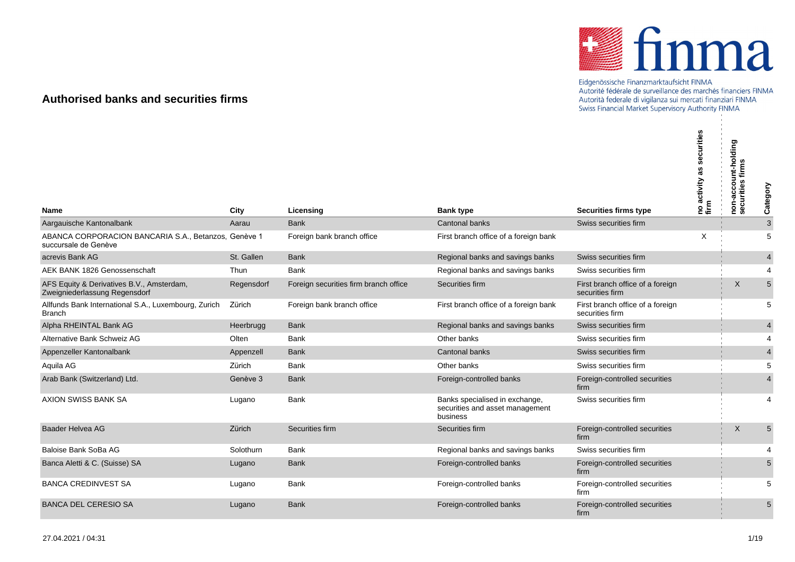

## Eidgenössische Finanzmarktaufsicht FINMA<br>Autorité fédérale de surveillance des marchés financiers FINMA Autorità federale di vigilanza sui mercati finanziari FINMA Swiss Financial Market Supervisory Authority FINMA

## **Authorised banks and securities firms**

|                                                                              |               |                                       |                                                                               |                                                       | curities<br>æ<br> no activity :<br> firm | non-account-holding<br>securities firms | Category       |
|------------------------------------------------------------------------------|---------------|---------------------------------------|-------------------------------------------------------------------------------|-------------------------------------------------------|------------------------------------------|-----------------------------------------|----------------|
| <b>Name</b><br>Aargauische Kantonalbank                                      | City<br>Aarau | Licensing<br><b>Bank</b>              | <b>Bank type</b><br>Cantonal banks                                            | <b>Securities firms type</b><br>Swiss securities firm |                                          |                                         | $\mathbf{3}$   |
| ABANCA CORPORACION BANCARIA S.A., Betanzos, Genève 1<br>succursale de Genève |               | Foreign bank branch office            | First branch office of a foreign bank                                         |                                                       | $\times$                                 |                                         | 5              |
| acrevis Bank AG                                                              | St. Gallen    | <b>Bank</b>                           | Regional banks and savings banks                                              | Swiss securities firm                                 |                                          |                                         | $\overline{4}$ |
| AEK BANK 1826 Genossenschaft                                                 | Thun          | Bank                                  | Regional banks and savings banks                                              | Swiss securities firm                                 |                                          |                                         | 4              |
| AFS Equity & Derivatives B.V., Amsterdam,<br>Zweigniederlassung Regensdorf   | Regensdorf    | Foreign securities firm branch office | Securities firm                                                               | First branch office of a foreign<br>securities firm   |                                          | X                                       | 5              |
| Allfunds Bank International S.A., Luxembourg, Zurich<br><b>Branch</b>        | Zürich        | Foreign bank branch office            | First branch office of a foreign bank                                         | First branch office of a foreign<br>securities firm   |                                          |                                         | 5              |
| Alpha RHEINTAL Bank AG                                                       | Heerbrugg     | <b>Bank</b>                           | Regional banks and savings banks                                              | Swiss securities firm                                 |                                          |                                         | $\overline{4}$ |
| Alternative Bank Schweiz AG                                                  | Olten         | Bank                                  | Other banks                                                                   | Swiss securities firm                                 |                                          |                                         | 4              |
| Appenzeller Kantonalbank                                                     | Appenzell     | <b>Bank</b>                           | Cantonal banks                                                                | Swiss securities firm                                 |                                          |                                         | $\overline{4}$ |
| Aquila AG                                                                    | Zürich        | <b>Bank</b>                           | Other banks                                                                   | Swiss securities firm                                 |                                          |                                         | 5              |
| Arab Bank (Switzerland) Ltd.                                                 | Genève 3      | <b>Bank</b>                           | Foreign-controlled banks                                                      | Foreign-controlled securities<br>firm                 |                                          |                                         | $\overline{4}$ |
| AXION SWISS BANK SA                                                          | Lugano        | <b>Bank</b>                           | Banks specialised in exchange,<br>securities and asset management<br>business | Swiss securities firm                                 |                                          |                                         | $\overline{4}$ |
| <b>Baader Helvea AG</b>                                                      | Zürich        | Securities firm                       | Securities firm                                                               | Foreign-controlled securities<br>firm                 |                                          | X                                       | 5              |
| Baloise Bank SoBa AG                                                         | Solothurn     | <b>Bank</b>                           | Regional banks and savings banks                                              | Swiss securities firm                                 |                                          |                                         | $\overline{4}$ |
| Banca Aletti & C. (Suisse) SA                                                | Lugano        | <b>Bank</b>                           | Foreign-controlled banks                                                      | Foreign-controlled securities<br>firm                 |                                          |                                         | 5              |
| <b>BANCA CREDINVEST SA</b>                                                   | Lugano        | Bank                                  | Foreign-controlled banks                                                      | Foreign-controlled securities<br>firm                 |                                          |                                         | 5              |
| <b>BANCA DEL CERESIO SA</b>                                                  | Lugano        | <b>Bank</b>                           | Foreign-controlled banks                                                      | Foreign-controlled securities<br>firm                 |                                          |                                         | 5              |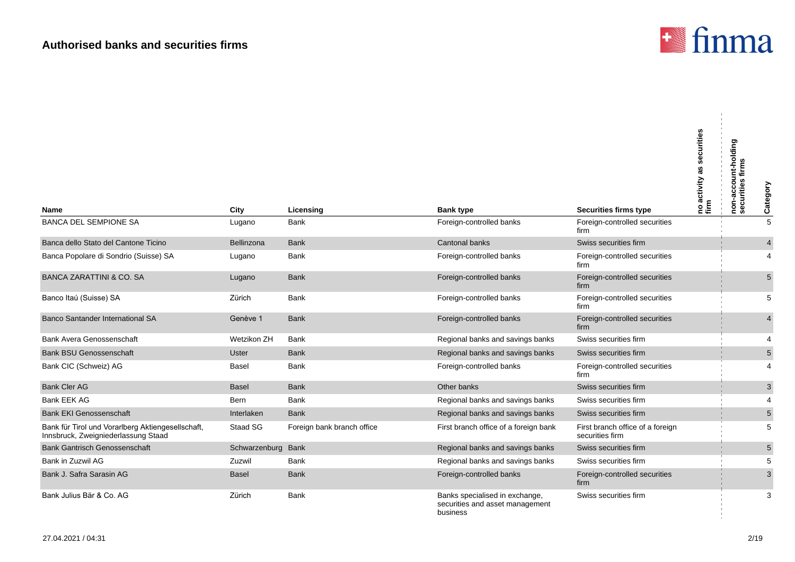

| Name                                                                                     | City               | Licensing                  | <b>Bank type</b>                                                              | <b>Securities firms type</b>                        | securities<br>as<br>ino activity a<br>firm | non-account-holding<br>securities firms | Category        |
|------------------------------------------------------------------------------------------|--------------------|----------------------------|-------------------------------------------------------------------------------|-----------------------------------------------------|--------------------------------------------|-----------------------------------------|-----------------|
| <b>BANCA DEL SEMPIONE SA</b>                                                             | Lugano             | <b>Bank</b>                | Foreign-controlled banks                                                      | Foreign-controlled securities<br>firm               |                                            |                                         | $\overline{5}$  |
| Banca dello Stato del Cantone Ticino                                                     | Bellinzona         | <b>Bank</b>                | <b>Cantonal banks</b>                                                         | Swiss securities firm                               |                                            |                                         | $\overline{4}$  |
| Banca Popolare di Sondrio (Suisse) SA                                                    | Lugano             | Bank                       | Foreign-controlled banks                                                      | Foreign-controlled securities<br>firm               |                                            |                                         | 4               |
| <b>BANCA ZARATTINI &amp; CO. SA</b>                                                      | Lugano             | <b>Bank</b>                | Foreign-controlled banks                                                      | Foreign-controlled securities<br>firm               |                                            |                                         | $5\overline{)}$ |
| Banco Itaú (Suisse) SA                                                                   | Zürich             | <b>Bank</b>                | Foreign-controlled banks                                                      | Foreign-controlled securities<br>firm               |                                            |                                         | 5               |
| Banco Santander International SA                                                         | Genève 1           | <b>Bank</b>                | Foreign-controlled banks                                                      | Foreign-controlled securities<br>firm               |                                            |                                         | 4               |
| Bank Avera Genossenschaft                                                                | Wetzikon ZH        | <b>Bank</b>                | Regional banks and savings banks                                              | Swiss securities firm                               |                                            |                                         | $\overline{4}$  |
| <b>Bank BSU Genossenschaft</b>                                                           | <b>Uster</b>       | <b>Bank</b>                | Regional banks and savings banks                                              | Swiss securities firm                               |                                            |                                         | 5               |
| Bank CIC (Schweiz) AG                                                                    | Basel              | Bank                       | Foreign-controlled banks                                                      | Foreign-controlled securities<br>firm               |                                            |                                         | 4               |
| <b>Bank Cler AG</b>                                                                      | <b>Basel</b>       | <b>Bank</b>                | Other banks                                                                   | Swiss securities firm                               |                                            |                                         | 3               |
| <b>Bank EEK AG</b>                                                                       | Bern               | <b>Bank</b>                | Regional banks and savings banks                                              | Swiss securities firm                               |                                            |                                         | $\overline{4}$  |
| <b>Bank EKI Genossenschaft</b>                                                           | Interlaken         | <b>Bank</b>                | Regional banks and savings banks                                              | Swiss securities firm                               |                                            |                                         | $\sqrt{5}$      |
| Bank für Tirol und Vorarlberg Aktiengesellschaft,<br>Innsbruck, Zweigniederlassung Staad | Staad SG           | Foreign bank branch office | First branch office of a foreign bank                                         | First branch office of a foreign<br>securities firm |                                            |                                         | 5               |
| <b>Bank Gantrisch Genossenschaft</b>                                                     | Schwarzenburg Bank |                            | Regional banks and savings banks                                              | Swiss securities firm                               |                                            |                                         | $5\phantom{.0}$ |
| Bank in Zuzwil AG                                                                        | Zuzwil             | <b>Bank</b>                | Regional banks and savings banks                                              | Swiss securities firm                               |                                            |                                         | 5               |
| Bank J. Safra Sarasin AG                                                                 | <b>Basel</b>       | <b>Bank</b>                | Foreign-controlled banks                                                      | Foreign-controlled securities<br>firm               |                                            |                                         | 3               |
| Bank Julius Bär & Co. AG                                                                 | Zürich             | <b>Bank</b>                | Banks specialised in exchange,<br>securities and asset management<br>business | Swiss securities firm                               |                                            |                                         | 3               |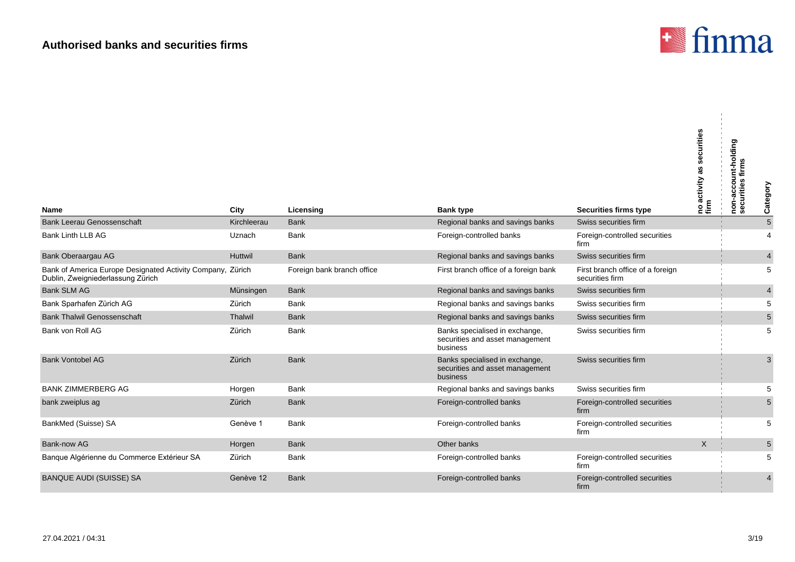

 $\mathcal{L}_{\mathcal{A}}$ 

| <b>Name</b>                                                                              | City        | Licensing                  | <b>Bank type</b>                                                              | Securities firms type                               | securities<br>no activity<br>firm | non-account-holding<br>firms<br>securities | Category                |
|------------------------------------------------------------------------------------------|-------------|----------------------------|-------------------------------------------------------------------------------|-----------------------------------------------------|-----------------------------------|--------------------------------------------|-------------------------|
| <b>Bank Leerau Genossenschaft</b>                                                        | Kirchleerau | <b>Bank</b>                | Regional banks and savings banks                                              | Swiss securities firm                               |                                   |                                            | $\overline{5}$          |
| Bank Linth LLB AG                                                                        | Uznach      | Bank                       | Foreign-controlled banks                                                      | Foreign-controlled securities<br>firm               |                                   |                                            | $\overline{4}$          |
| Bank Oberaargau AG                                                                       | Huttwil     | <b>Bank</b>                | Regional banks and savings banks                                              | Swiss securities firm                               |                                   |                                            | $\overline{\mathbf{4}}$ |
| Bank of America Europe Designated Activity Company,<br>Dublin, Zweigniederlassung Zürich | Zürich      | Foreign bank branch office | First branch office of a foreign bank                                         | First branch office of a foreign<br>securities firm |                                   |                                            | 5                       |
| <b>Bank SLM AG</b>                                                                       | Münsingen   | <b>Bank</b>                | Regional banks and savings banks                                              | Swiss securities firm                               |                                   |                                            | $\overline{4}$          |
| Bank Sparhafen Zürich AG                                                                 | Zürich      | Bank                       | Regional banks and savings banks                                              | Swiss securities firm                               |                                   |                                            | 5                       |
| <b>Bank Thalwil Genossenschaft</b>                                                       | Thalwil     | <b>Bank</b>                | Regional banks and savings banks                                              | Swiss securities firm                               |                                   |                                            | $\overline{5}$          |
| Bank von Roll AG                                                                         | Zürich      | <b>Bank</b>                | Banks specialised in exchange,<br>securities and asset management<br>business | Swiss securities firm                               |                                   |                                            | 5                       |
| <b>Bank Vontobel AG</b>                                                                  | Zürich      | <b>Bank</b>                | Banks specialised in exchange,<br>securities and asset management<br>business | Swiss securities firm                               |                                   |                                            | 3                       |
| <b>BANK ZIMMERBERG AG</b>                                                                | Horgen      | Bank                       | Regional banks and savings banks                                              | Swiss securities firm                               |                                   |                                            | 5                       |
| bank zweiplus ag                                                                         | Zürich      | <b>Bank</b>                | Foreign-controlled banks                                                      | Foreign-controlled securities<br>firm               |                                   |                                            | $5\,$                   |
| BankMed (Suisse) SA                                                                      | Genève 1    | <b>Bank</b>                | Foreign-controlled banks                                                      | Foreign-controlled securities<br>firm               |                                   |                                            | 5                       |
| Bank-now AG                                                                              | Horgen      | Bank                       | Other banks                                                                   |                                                     | $\times$                          |                                            | $\sqrt{5}$              |
| Banque Algérienne du Commerce Extérieur SA                                               | Zürich      | Bank                       | Foreign-controlled banks                                                      | Foreign-controlled securities<br>firm               |                                   |                                            | 5                       |
| <b>BANQUE AUDI (SUISSE) SA</b>                                                           | Genève 12   | <b>Bank</b>                | Foreign-controlled banks                                                      | Foreign-controlled securities<br>firm               |                                   |                                            | $\overline{4}$          |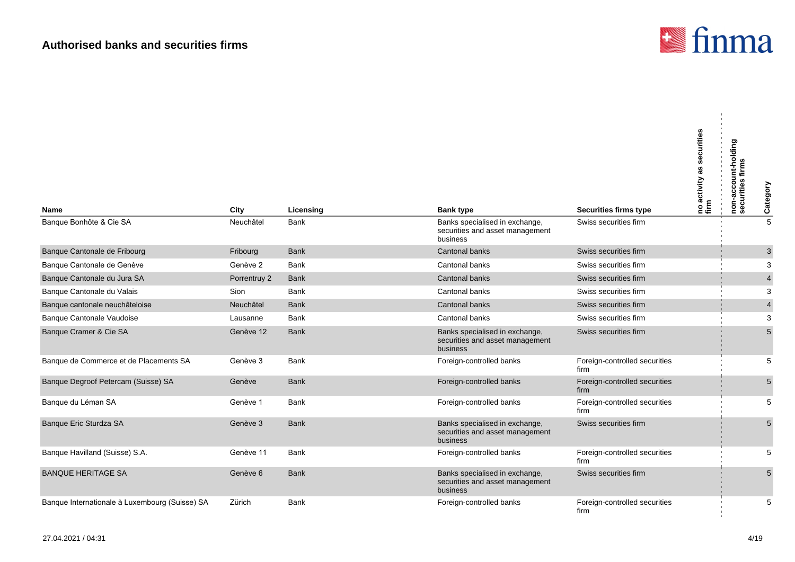

 $\mathbf{u}$ 

| <b>Name</b>                                    | City         | Licensing   | <b>Bank type</b>                                                              | Securities firms type                 | securities<br> no activity as s<br> firm | non-account-holding<br>securities firms | Category                |
|------------------------------------------------|--------------|-------------|-------------------------------------------------------------------------------|---------------------------------------|------------------------------------------|-----------------------------------------|-------------------------|
| Banque Bonhôte & Cie SA                        | Neuchâtel    | Bank        | Banks specialised in exchange,<br>securities and asset management<br>business | Swiss securities firm                 |                                          |                                         | 5                       |
| Banque Cantonale de Fribourg                   | Fribourg     | <b>Bank</b> | Cantonal banks                                                                | Swiss securities firm                 |                                          |                                         | $\mathbf{3}$            |
| Banque Cantonale de Genève                     | Genève 2     | <b>Bank</b> | Cantonal banks                                                                | Swiss securities firm                 |                                          |                                         | 3                       |
| Banque Cantonale du Jura SA                    | Porrentruy 2 | <b>Bank</b> | Cantonal banks                                                                | Swiss securities firm                 |                                          |                                         | $\overline{\mathbf{4}}$ |
| Banque Cantonale du Valais                     | Sion         | Bank        | Cantonal banks                                                                | Swiss securities firm                 |                                          |                                         | 3                       |
| Banque cantonale neuchâteloise                 | Neuchâtel    | <b>Bank</b> | <b>Cantonal banks</b>                                                         | Swiss securities firm                 |                                          |                                         | $\overline{\mathbf{4}}$ |
| Banque Cantonale Vaudoise                      | Lausanne     | Bank        | Cantonal banks                                                                | Swiss securities firm                 |                                          |                                         | 3                       |
| Banque Cramer & Cie SA                         | Genève 12    | <b>Bank</b> | Banks specialised in exchange,<br>securities and asset management<br>business | Swiss securities firm                 |                                          |                                         | 5                       |
| Banque de Commerce et de Placements SA         | Genève 3     | Bank        | Foreign-controlled banks                                                      | Foreign-controlled securities<br>firm |                                          |                                         | 5                       |
| Banque Degroof Petercam (Suisse) SA            | Genève       | <b>Bank</b> | Foreign-controlled banks                                                      | Foreign-controlled securities<br>firm |                                          |                                         | 5                       |
| Banque du Léman SA                             | Genève 1     | <b>Bank</b> | Foreign-controlled banks                                                      | Foreign-controlled securities<br>firm |                                          |                                         | 5                       |
| Banque Eric Sturdza SA                         | Genève 3     | <b>Bank</b> | Banks specialised in exchange,<br>securities and asset management<br>business | Swiss securities firm                 |                                          |                                         | 5                       |
| Banque Havilland (Suisse) S.A.                 | Genève 11    | <b>Bank</b> | Foreign-controlled banks                                                      | Foreign-controlled securities<br>firm |                                          |                                         | 5                       |
| <b>BANQUE HERITAGE SA</b>                      | Genève 6     | <b>Bank</b> | Banks specialised in exchange,<br>securities and asset management<br>business | Swiss securities firm                 |                                          |                                         | 5                       |
| Banque Internationale à Luxembourg (Suisse) SA | Zürich       | Bank        | Foreign-controlled banks                                                      | Foreign-controlled securities<br>firm |                                          |                                         | 5                       |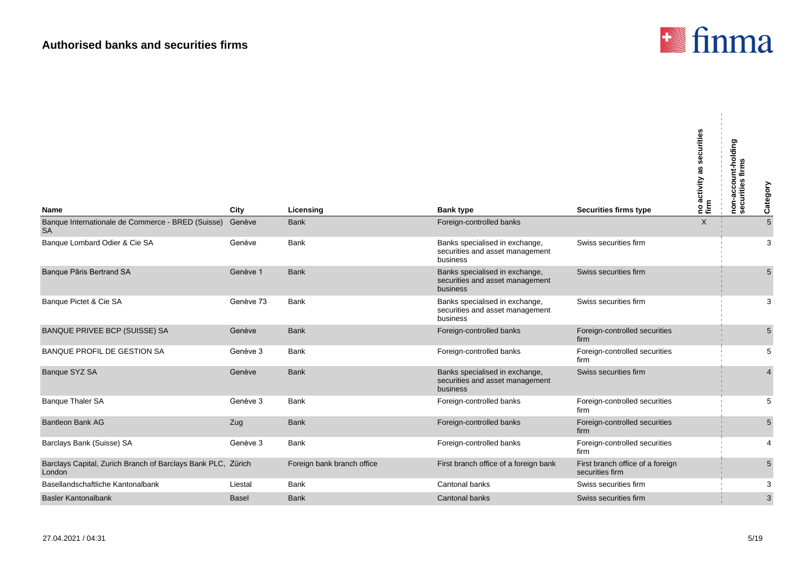

 $\mathcal{L}_{\mathcal{A}}$ 

| <b>Name</b>                                                            | City         | Licensing                  | <b>Bank type</b>                                                              | Securities firms type                               | securities<br> no activity as s<br> firm | non-account-holding<br>$\boldsymbol{a}$<br>urities<br>င့်<br>၁၉ | Category        |
|------------------------------------------------------------------------|--------------|----------------------------|-------------------------------------------------------------------------------|-----------------------------------------------------|------------------------------------------|-----------------------------------------------------------------|-----------------|
| Banque Internationale de Commerce - BRED (Suisse)                      | Genève       | <b>Bank</b>                | Foreign-controlled banks                                                      |                                                     | $\sf X$                                  |                                                                 | $5\overline{)}$ |
| <b>SA</b><br>Banque Lombard Odier & Cie SA                             | Genève       | Bank                       | Banks specialised in exchange,<br>securities and asset management<br>business | Swiss securities firm                               |                                          |                                                                 | 3               |
| Banque Pâris Bertrand SA                                               | Genève 1     | <b>Bank</b>                | Banks specialised in exchange,<br>securities and asset management<br>business | Swiss securities firm                               |                                          |                                                                 | 5               |
| Banque Pictet & Cie SA                                                 | Genève 73    | <b>Bank</b>                | Banks specialised in exchange,<br>securities and asset management<br>business | Swiss securities firm                               |                                          |                                                                 | 3               |
| BANQUE PRIVEE BCP (SUISSE) SA                                          | Genève       | <b>Bank</b>                | Foreign-controlled banks                                                      | Foreign-controlled securities<br>firm               |                                          |                                                                 | 5               |
| <b>BANQUE PROFIL DE GESTION SA</b>                                     | Genève 3     | Bank                       | Foreign-controlled banks                                                      | Foreign-controlled securities<br>firm               |                                          |                                                                 | 5               |
| Banque SYZ SA                                                          | Genève       | <b>Bank</b>                | Banks specialised in exchange,<br>securities and asset management<br>business | Swiss securities firm                               |                                          |                                                                 | $\overline{4}$  |
| <b>Banque Thaler SA</b>                                                | Genève 3     | <b>Bank</b>                | Foreign-controlled banks                                                      | Foreign-controlled securities<br>firm               |                                          |                                                                 | 5               |
| <b>Bantleon Bank AG</b>                                                | Zug          | <b>Bank</b>                | Foreign-controlled banks                                                      | Foreign-controlled securities<br>firm               |                                          |                                                                 | 5               |
| Barclays Bank (Suisse) SA                                              | Genève 3     | <b>Bank</b>                | Foreign-controlled banks                                                      | Foreign-controlled securities<br>firm               |                                          |                                                                 | 4               |
| Barclays Capital, Zurich Branch of Barclays Bank PLC, Zürich<br>London |              | Foreign bank branch office | First branch office of a foreign bank                                         | First branch office of a foreign<br>securities firm |                                          |                                                                 | 5               |
| Basellandschaftliche Kantonalbank                                      | Liestal      | Bank                       | Cantonal banks                                                                | Swiss securities firm                               |                                          |                                                                 | 3               |
| <b>Basler Kantonalbank</b>                                             | <b>Basel</b> | <b>Bank</b>                | <b>Cantonal banks</b>                                                         | Swiss securities firm                               |                                          |                                                                 | 3               |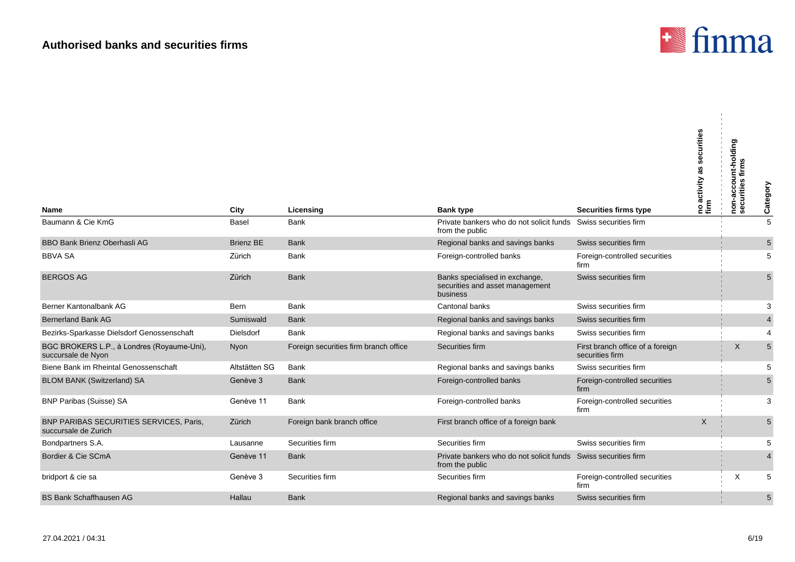

| Name                                                             | City             | Licensing                             | <b>Bank type</b>                                                                  | <b>Securities firms type</b>                        | securities<br>no activity<br>firm | non-account-holding<br>securities firms | Category       |
|------------------------------------------------------------------|------------------|---------------------------------------|-----------------------------------------------------------------------------------|-----------------------------------------------------|-----------------------------------|-----------------------------------------|----------------|
| Baumann & Cie KmG                                                | Basel            | Bank                                  | Private bankers who do not solicit funds<br>from the public                       | Swiss securities firm                               |                                   |                                         | $\overline{5}$ |
| BBO Bank Brienz Oberhasli AG                                     | <b>Brienz BE</b> | <b>Bank</b>                           | Regional banks and savings banks                                                  | Swiss securities firm                               |                                   |                                         | $\sqrt{5}$     |
| <b>BBVA SA</b>                                                   | Zürich           | Bank                                  | Foreign-controlled banks                                                          | Foreign-controlled securities<br>firm               |                                   |                                         | 5              |
| <b>BERGOS AG</b>                                                 | Zürich           | <b>Bank</b>                           | Banks specialised in exchange,<br>securities and asset management<br>business     | Swiss securities firm                               |                                   |                                         | 5              |
| Berner Kantonalbank AG                                           | <b>Bern</b>      | <b>Bank</b>                           | Cantonal banks                                                                    | Swiss securities firm                               |                                   |                                         | 3              |
| Bernerland Bank AG                                               | Sumiswald        | <b>Bank</b>                           | Regional banks and savings banks                                                  | Swiss securities firm                               |                                   |                                         | $\overline{4}$ |
| Bezirks-Sparkasse Dielsdorf Genossenschaft                       | Dielsdorf        | Bank                                  | Regional banks and savings banks                                                  | Swiss securities firm                               |                                   |                                         | $\overline{4}$ |
| BGC BROKERS L.P., à Londres (Royaume-Uni),<br>succursale de Nyon | Nyon             | Foreign securities firm branch office | Securities firm                                                                   | First branch office of a foreign<br>securities firm |                                   | X                                       | $5\phantom{1}$ |
| Biene Bank im Rheintal Genossenschaft                            | Altstätten SG    | Bank                                  | Regional banks and savings banks                                                  | Swiss securities firm                               |                                   |                                         | 5              |
| <b>BLOM BANK (Switzerland) SA</b>                                | Genève 3         | <b>Bank</b>                           | Foreign-controlled banks                                                          | Foreign-controlled securities<br>firm               |                                   |                                         | 5              |
| <b>BNP Paribas (Suisse) SA</b>                                   | Genève 11        | <b>Bank</b>                           | Foreign-controlled banks                                                          | Foreign-controlled securities<br>firm               |                                   |                                         | 3              |
| BNP PARIBAS SECURITIES SERVICES, Paris,<br>succursale de Zurich  | Zürich           | Foreign bank branch office            | First branch office of a foreign bank                                             |                                                     | $\times$                          |                                         | 5              |
| Bondpartners S.A.                                                | Lausanne         | Securities firm                       | Securities firm                                                                   | Swiss securities firm                               |                                   |                                         | 5              |
| Bordier & Cie SCmA                                               | Genève 11        | <b>Bank</b>                           | Private bankers who do not solicit funds Swiss securities firm<br>from the public |                                                     |                                   |                                         | $\overline{4}$ |
| bridport & cie sa                                                | Genève 3         | Securities firm                       | Securities firm                                                                   | Foreign-controlled securities<br>firm               |                                   | X                                       | 5              |
| <b>BS Bank Schaffhausen AG</b>                                   | Hallau           | <b>Bank</b>                           | Regional banks and savings banks                                                  | Swiss securities firm                               |                                   |                                         | 5              |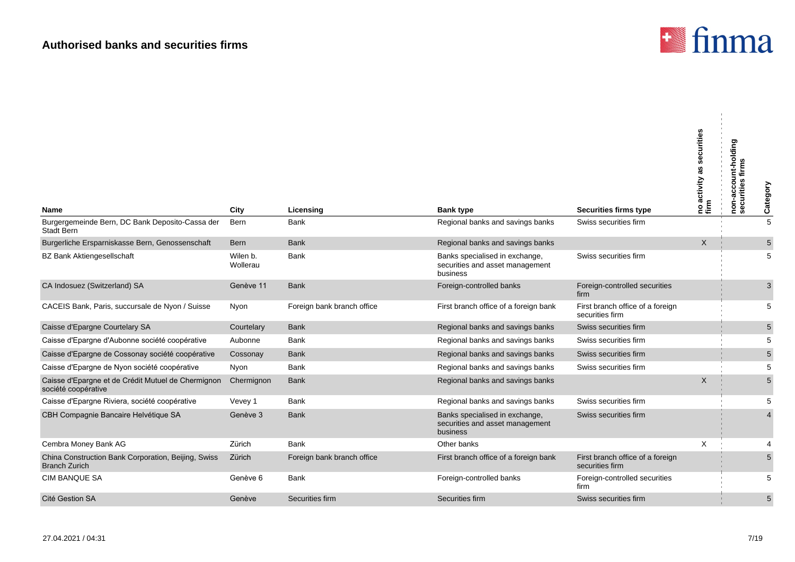

|                                                                             |                      |                            |                                                                               |                                                     | securities<br> no activity as s<br> firm | non-account-holding<br>urities<br>ō | Category       |
|-----------------------------------------------------------------------------|----------------------|----------------------------|-------------------------------------------------------------------------------|-----------------------------------------------------|------------------------------------------|-------------------------------------|----------------|
| Name                                                                        | City                 | Licensing                  | <b>Bank type</b>                                                              | Securities firms type                               |                                          | ğ,                                  |                |
| Burgergemeinde Bern, DC Bank Deposito-Cassa der<br><b>Stadt Bern</b>        | Bern                 | Bank                       | Regional banks and savings banks                                              | Swiss securities firm                               |                                          |                                     | $\overline{5}$ |
| Burgerliche Ersparniskasse Bern, Genossenschaft                             | <b>Bern</b>          | <b>Bank</b>                | Regional banks and savings banks                                              |                                                     | $\mathsf{X}$                             |                                     | 5              |
| <b>BZ Bank Aktiengesellschaft</b>                                           | Wilen b.<br>Wollerau | <b>Bank</b>                | Banks specialised in exchange,<br>securities and asset management<br>business | Swiss securities firm                               |                                          |                                     | 5              |
| CA Indosuez (Switzerland) SA                                                | Genève 11            | <b>Bank</b>                | Foreign-controlled banks                                                      | Foreign-controlled securities<br>firm               |                                          |                                     | 3              |
| CACEIS Bank, Paris, succursale de Nyon / Suisse                             | Nyon                 | Foreign bank branch office | First branch office of a foreign bank                                         | First branch office of a foreign<br>securities firm |                                          |                                     | 5              |
| Caisse d'Epargne Courtelary SA                                              | Courtelary           | <b>Bank</b>                | Regional banks and savings banks                                              | Swiss securities firm                               |                                          |                                     | 5              |
| Caisse d'Epargne d'Aubonne société coopérative                              | Aubonne              | <b>Bank</b>                | Regional banks and savings banks                                              | Swiss securities firm                               |                                          |                                     | 5              |
| Caisse d'Epargne de Cossonay société coopérative                            | Cossonay             | <b>Bank</b>                | Regional banks and savings banks                                              | Swiss securities firm                               |                                          |                                     | 5              |
| Caisse d'Epargne de Nyon société coopérative                                | Nyon                 | Bank                       | Regional banks and savings banks                                              | Swiss securities firm                               |                                          |                                     | 5              |
| Caisse d'Epargne et de Crédit Mutuel de Chermignon<br>société coopérative   | Chermignon           | <b>Bank</b>                | Regional banks and savings banks                                              |                                                     | X                                        |                                     | 5              |
| Caisse d'Epargne Riviera, société coopérative                               | Vevey 1              | <b>Bank</b>                | Regional banks and savings banks                                              | Swiss securities firm                               |                                          |                                     | 5              |
| CBH Compagnie Bancaire Helvétique SA                                        | Genève 3             | <b>Bank</b>                | Banks specialised in exchange,<br>securities and asset management<br>business | Swiss securities firm                               |                                          |                                     | $\overline{4}$ |
| Cembra Money Bank AG                                                        | Zürich               | <b>Bank</b>                | Other banks                                                                   |                                                     | X                                        |                                     | 4              |
| China Construction Bank Corporation, Beijing, Swiss<br><b>Branch Zurich</b> | Zürich               | Foreign bank branch office | First branch office of a foreign bank                                         | First branch office of a foreign<br>securities firm |                                          |                                     | 5              |
| <b>CIM BANQUE SA</b>                                                        | Genève 6             | <b>Bank</b>                | Foreign-controlled banks                                                      | Foreign-controlled securities<br>firm               |                                          |                                     | 5              |
| Cité Gestion SA                                                             | Genève               | Securities firm            | Securities firm                                                               | Swiss securities firm                               |                                          |                                     | 5              |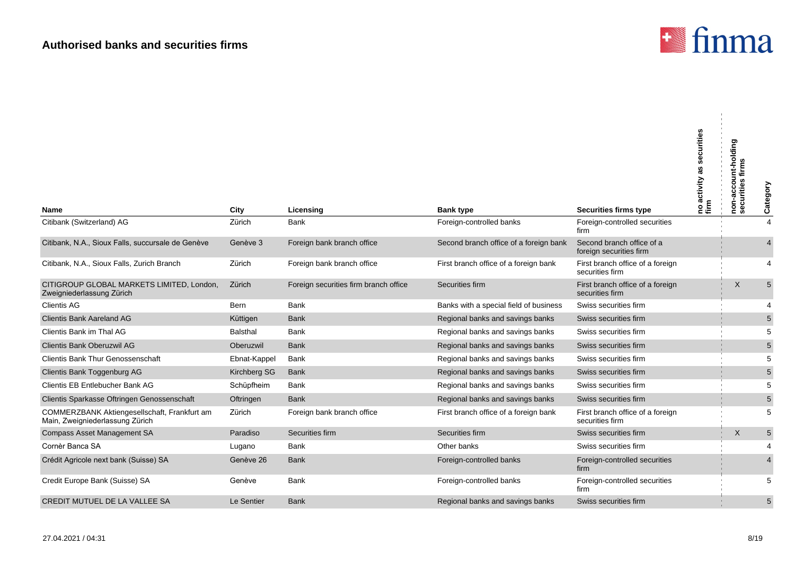

| Name                                                                            | City            | Licensing                             | <b>Bank type</b>                       | <b>Securities firms type</b>                         | securities<br>ℼ<br>activity<br>no a<br>firm | non-account-holding<br>securities firms | Category       |
|---------------------------------------------------------------------------------|-----------------|---------------------------------------|----------------------------------------|------------------------------------------------------|---------------------------------------------|-----------------------------------------|----------------|
| Citibank (Switzerland) AG                                                       | Zürich          | <b>Bank</b>                           | Foreign-controlled banks               | Foreign-controlled securities                        |                                             |                                         | $\overline{4}$ |
|                                                                                 |                 |                                       |                                        | firm                                                 |                                             |                                         |                |
| Citibank, N.A., Sioux Falls, succursale de Genève                               | Genève 3        | Foreign bank branch office            | Second branch office of a foreign bank | Second branch office of a<br>foreign securities firm |                                             |                                         |                |
| Citibank, N.A., Sioux Falls, Zurich Branch                                      | Zürich          | Foreign bank branch office            | First branch office of a foreign bank  | First branch office of a foreign<br>securities firm  |                                             |                                         | $\overline{4}$ |
| CITIGROUP GLOBAL MARKETS LIMITED, London,<br>Zweigniederlassung Zürich          | Zürich          | Foreign securities firm branch office | Securities firm                        | First branch office of a foreign<br>securities firm  |                                             | X                                       | 5              |
| <b>Clientis AG</b>                                                              | <b>Bern</b>     | <b>Bank</b>                           | Banks with a special field of business | Swiss securities firm                                |                                             |                                         | $\overline{4}$ |
| <b>Clientis Bank Aareland AG</b>                                                | Küttigen        | <b>Bank</b>                           | Regional banks and savings banks       | Swiss securities firm                                |                                             |                                         | 5              |
| Clientis Bank im Thal AG                                                        | <b>Balsthal</b> | Bank                                  | Regional banks and savings banks       | Swiss securities firm                                |                                             |                                         | 5              |
| Clientis Bank Oberuzwil AG                                                      | Oberuzwil       | <b>Bank</b>                           | Regional banks and savings banks       | Swiss securities firm                                |                                             |                                         | $\sqrt{5}$     |
| <b>Clientis Bank Thur Genossenschaft</b>                                        | Ebnat-Kappel    | <b>Bank</b>                           | Regional banks and savings banks       | Swiss securities firm                                |                                             |                                         | 5              |
| Clientis Bank Toggenburg AG                                                     | Kirchberg SG    | <b>Bank</b>                           | Regional banks and savings banks       | Swiss securities firm                                |                                             |                                         | $\sqrt{5}$     |
| Clientis EB Entlebucher Bank AG                                                 | Schüpfheim      | <b>Bank</b>                           | Regional banks and savings banks       | Swiss securities firm                                |                                             |                                         | 5              |
| Clientis Sparkasse Oftringen Genossenschaft                                     | Oftringen       | <b>Bank</b>                           | Regional banks and savings banks       | Swiss securities firm                                |                                             |                                         | $\sqrt{5}$     |
| COMMERZBANK Aktiengesellschaft, Frankfurt am<br>Main, Zweigniederlassung Zürich | Zürich          | Foreign bank branch office            | First branch office of a foreign bank  | First branch office of a foreign<br>securities firm  |                                             |                                         | 5              |
| <b>Compass Asset Management SA</b>                                              | Paradiso        | Securities firm                       | Securities firm                        | Swiss securities firm                                |                                             | $\mathsf{X}$                            | $\sqrt{5}$     |
| Cornèr Banca SA                                                                 | Lugano          | <b>Bank</b>                           | Other banks                            | Swiss securities firm                                |                                             |                                         | $\overline{4}$ |
| Crédit Agricole next bank (Suisse) SA                                           | Genève 26       | <b>Bank</b>                           | Foreign-controlled banks               | Foreign-controlled securities<br>firm                |                                             |                                         | $\overline{4}$ |
| Credit Europe Bank (Suisse) SA                                                  | Genève          | Bank                                  | Foreign-controlled banks               | Foreign-controlled securities<br>firm                |                                             |                                         | 5              |
| CREDIT MUTUEL DE LA VALLEE SA                                                   | Le Sentier      | <b>Bank</b>                           | Regional banks and savings banks       | Swiss securities firm                                |                                             |                                         | 5              |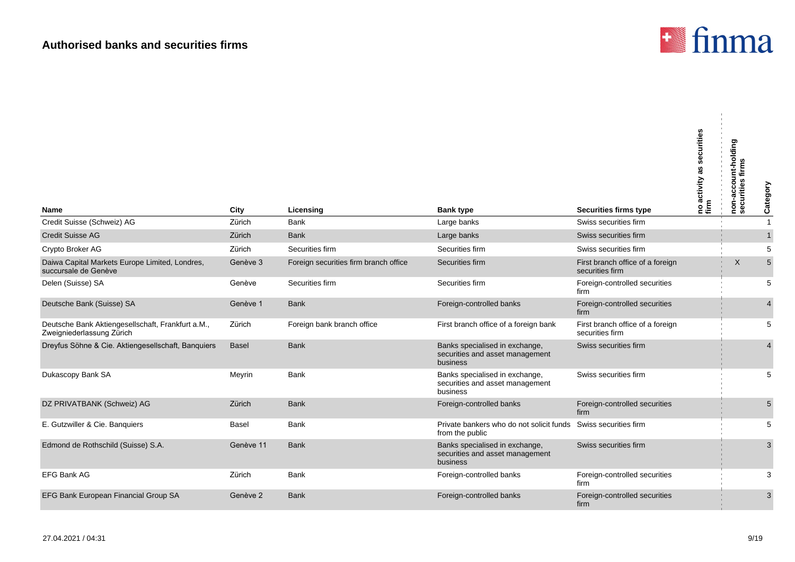

| <b>Name</b>                                                                    | City         | Licensing                             | <b>Bank type</b>                                                              | <b>Securities firms type</b>                        | securities<br>no activity and | non-account-holding<br>securities firms | Category       |
|--------------------------------------------------------------------------------|--------------|---------------------------------------|-------------------------------------------------------------------------------|-----------------------------------------------------|-------------------------------|-----------------------------------------|----------------|
| Credit Suisse (Schweiz) AG                                                     | Zürich       | <b>Bank</b>                           | Large banks                                                                   | Swiss securities firm                               |                               |                                         | $\overline{1}$ |
| <b>Credit Suisse AG</b>                                                        | Zürich       | <b>Bank</b>                           | Large banks                                                                   | Swiss securities firm                               |                               |                                         | $\mathbf{1}$   |
| Crypto Broker AG                                                               | Zürich       | Securities firm                       | Securities firm                                                               | Swiss securities firm                               |                               |                                         | 5              |
| Daiwa Capital Markets Europe Limited, Londres,<br>succursale de Genève         | Genève 3     | Foreign securities firm branch office | Securities firm                                                               | First branch office of a foreign<br>securities firm |                               | X                                       | $\sqrt{5}$     |
| Delen (Suisse) SA                                                              | Genève       | Securities firm                       | Securities firm                                                               | Foreign-controlled securities<br>firm               |                               |                                         | 5              |
| Deutsche Bank (Suisse) SA                                                      | Genève 1     | <b>Bank</b>                           | Foreign-controlled banks                                                      | Foreign-controlled securities<br>firm               |                               |                                         | $\overline{4}$ |
| Deutsche Bank Aktiengesellschaft, Frankfurt a.M.,<br>Zweigniederlassung Zürich | Zürich       | Foreign bank branch office            | First branch office of a foreign bank                                         | First branch office of a foreign<br>securities firm |                               |                                         | 5              |
| Dreyfus Söhne & Cie. Aktiengesellschaft, Banquiers                             | <b>Basel</b> | <b>Bank</b>                           | Banks specialised in exchange,<br>securities and asset management<br>business | Swiss securities firm                               |                               |                                         | $\overline{4}$ |
| Dukascopy Bank SA                                                              | Meyrin       | <b>Bank</b>                           | Banks specialised in exchange,<br>securities and asset management<br>business | Swiss securities firm                               |                               |                                         | 5              |
| DZ PRIVATBANK (Schweiz) AG                                                     | Zürich       | <b>Bank</b>                           | Foreign-controlled banks                                                      | Foreign-controlled securities<br>firm               |                               |                                         | 5              |
| E. Gutzwiller & Cie. Banquiers                                                 | <b>Basel</b> | <b>Bank</b>                           | Private bankers who do not solicit funds<br>from the public                   | Swiss securities firm                               |                               |                                         | 5              |
| Edmond de Rothschild (Suisse) S.A.                                             | Genève 11    | <b>Bank</b>                           | Banks specialised in exchange,<br>securities and asset management<br>business | Swiss securities firm                               |                               |                                         | 3              |
| <b>EFG Bank AG</b>                                                             | Zürich       | Bank                                  | Foreign-controlled banks                                                      | Foreign-controlled securities<br>firm               |                               |                                         | 3              |
| EFG Bank European Financial Group SA                                           | Genève 2     | <b>Bank</b>                           | Foreign-controlled banks                                                      | Foreign-controlled securities<br>firm               |                               |                                         | 3              |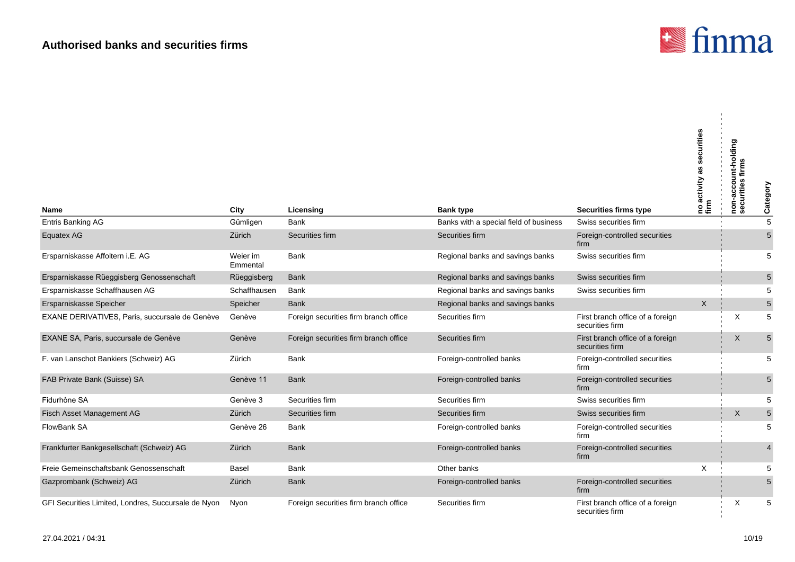

÷.

| <b>Name</b>                                         | City                 | Licensing                             | <b>Bank type</b>                       | <b>Securities firms type</b>                        | curities<br>activity<br>na<br>firm | non-account-holding<br>securities firms | Category       |
|-----------------------------------------------------|----------------------|---------------------------------------|----------------------------------------|-----------------------------------------------------|------------------------------------|-----------------------------------------|----------------|
| Entris Banking AG                                   | Gümligen             | Bank                                  | Banks with a special field of business | Swiss securities firm                               |                                    |                                         | 5              |
| Equatex AG                                          | Zürich               | Securities firm                       | Securities firm                        | Foreign-controlled securities<br>firm               |                                    |                                         | 5              |
| Ersparniskasse Affoltern i.E. AG                    | Weier im<br>Emmental | Bank                                  | Regional banks and savings banks       | Swiss securities firm                               |                                    |                                         | 5              |
| Ersparniskasse Rüeggisberg Genossenschaft           | Rüeggisberg          | <b>Bank</b>                           | Regional banks and savings banks       | Swiss securities firm                               |                                    |                                         | $\sqrt{5}$     |
| Ersparniskasse Schaffhausen AG                      | Schaffhausen         | Bank                                  | Regional banks and savings banks       | Swiss securities firm                               |                                    |                                         | 5              |
| Ersparniskasse Speicher                             | Speicher             | <b>Bank</b>                           | Regional banks and savings banks       |                                                     | X                                  |                                         | $\sqrt{5}$     |
| EXANE DERIVATIVES, Paris, succursale de Genève      | Genève               | Foreign securities firm branch office | Securities firm                        | First branch office of a foreign<br>securities firm |                                    | X                                       | 5              |
| EXANE SA, Paris, succursale de Genève               | Genève               | Foreign securities firm branch office | Securities firm                        | First branch office of a foreign<br>securities firm |                                    | $\sf X$                                 | 5              |
| F. van Lanschot Bankiers (Schweiz) AG               | Zürich               | Bank                                  | Foreign-controlled banks               | Foreign-controlled securities<br>firm               |                                    |                                         | 5              |
| FAB Private Bank (Suisse) SA                        | Genève 11            | <b>Bank</b>                           | Foreign-controlled banks               | Foreign-controlled securities<br>firm               |                                    |                                         | 5              |
| Fidurhône SA                                        | Genève 3             | Securities firm                       | Securities firm                        | Swiss securities firm                               |                                    |                                         | 5              |
| Fisch Asset Management AG                           | Zürich               | Securities firm                       | Securities firm                        | Swiss securities firm                               |                                    | X                                       | $\sqrt{5}$     |
| <b>FlowBank SA</b>                                  | Genève 26            | Bank                                  | Foreign-controlled banks               | Foreign-controlled securities<br>firm               |                                    |                                         | 5              |
| Frankfurter Bankgesellschaft (Schweiz) AG           | Zürich               | <b>Bank</b>                           | Foreign-controlled banks               | Foreign-controlled securities<br>firm               |                                    |                                         | $\overline{4}$ |
| Freie Gemeinschaftsbank Genossenschaft              | Basel                | Bank                                  | Other banks                            |                                                     | X                                  |                                         | 5              |
| Gazprombank (Schweiz) AG                            | Zürich               | <b>Bank</b>                           | Foreign-controlled banks               | Foreign-controlled securities<br>firm               |                                    |                                         | 5              |
| GFI Securities Limited, Londres, Succursale de Nyon | Nyon                 | Foreign securities firm branch office | Securities firm                        | First branch office of a foreign<br>securities firm |                                    | X                                       | 5              |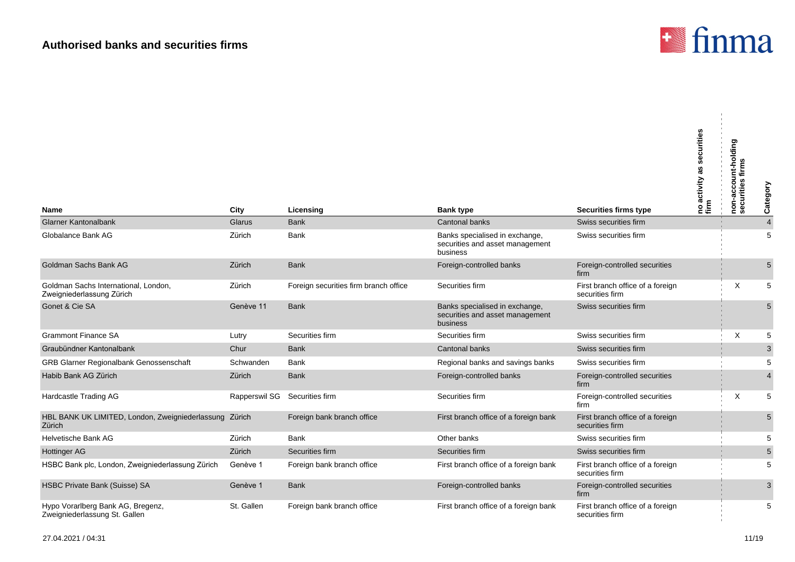

| Name                                                               | City                          | Licensing                             | <b>Bank type</b>                                                              | Securities firms type                               | securities<br>as<br>no activity a<br>firm | non-account-holding<br>securities firms | Category       |
|--------------------------------------------------------------------|-------------------------------|---------------------------------------|-------------------------------------------------------------------------------|-----------------------------------------------------|-------------------------------------------|-----------------------------------------|----------------|
| <b>Glarner Kantonalbank</b>                                        | Glarus                        | <b>Bank</b>                           | Cantonal banks                                                                | Swiss securities firm                               |                                           |                                         | $\overline{4}$ |
| Globalance Bank AG                                                 | Zürich                        | Bank                                  | Banks specialised in exchange,<br>securities and asset management<br>business | Swiss securities firm                               |                                           |                                         | 5              |
| Goldman Sachs Bank AG                                              | Zürich                        | <b>Bank</b>                           | Foreign-controlled banks                                                      | Foreign-controlled securities<br>firm               |                                           |                                         | 5              |
| Goldman Sachs International, London,<br>Zweigniederlassung Zürich  | Zürich                        | Foreign securities firm branch office | Securities firm                                                               | First branch office of a foreign<br>securities firm |                                           | X                                       | 5              |
| Gonet & Cie SA                                                     | Genève 11                     | <b>Bank</b>                           | Banks specialised in exchange,<br>securities and asset management<br>business | Swiss securities firm                               |                                           |                                         | 5              |
| <b>Grammont Finance SA</b>                                         | Lutry                         | Securities firm                       | Securities firm                                                               | Swiss securities firm                               |                                           | X                                       | 5              |
| Graubündner Kantonalbank                                           | Chur                          | <b>Bank</b>                           | Cantonal banks                                                                | Swiss securities firm                               |                                           |                                         | $\mathbf{3}$   |
| GRB Glarner Regionalbank Genossenschaft                            | Schwanden                     | <b>Bank</b>                           | Regional banks and savings banks                                              | Swiss securities firm                               |                                           |                                         | 5              |
| Habib Bank AG Zürich                                               | Zürich                        | <b>Bank</b>                           | Foreign-controlled banks                                                      | Foreign-controlled securities<br>firm               |                                           |                                         | $\overline{4}$ |
| Hardcastle Trading AG                                              | Rapperswil SG Securities firm |                                       | Securities firm                                                               | Foreign-controlled securities<br>firm               |                                           | X                                       | 5              |
| HBL BANK UK LIMITED, London, Zweigniederlassung Zürich<br>Zürich   |                               | Foreign bank branch office            | First branch office of a foreign bank                                         | First branch office of a foreign<br>securities firm |                                           |                                         | 5              |
| Helvetische Bank AG                                                | Zürich                        | <b>Bank</b>                           | Other banks                                                                   | Swiss securities firm                               |                                           |                                         | $\,$ 5 $\,$    |
| <b>Hottinger AG</b>                                                | Zürich                        | Securities firm                       | Securities firm                                                               | Swiss securities firm                               |                                           |                                         | $\sqrt{5}$     |
| HSBC Bank plc, London, Zweigniederlassung Zürich                   | Genève 1                      | Foreign bank branch office            | First branch office of a foreign bank                                         | First branch office of a foreign<br>securities firm |                                           |                                         | 5              |
| HSBC Private Bank (Suisse) SA                                      | Genève 1                      | <b>Bank</b>                           | Foreign-controlled banks                                                      | Foreign-controlled securities<br>firm               |                                           |                                         | 3              |
| Hypo Vorarlberg Bank AG, Bregenz,<br>Zweigniederlassung St. Gallen | St. Gallen                    | Foreign bank branch office            | First branch office of a foreign bank                                         | First branch office of a foreign<br>securities firm |                                           |                                         | 5              |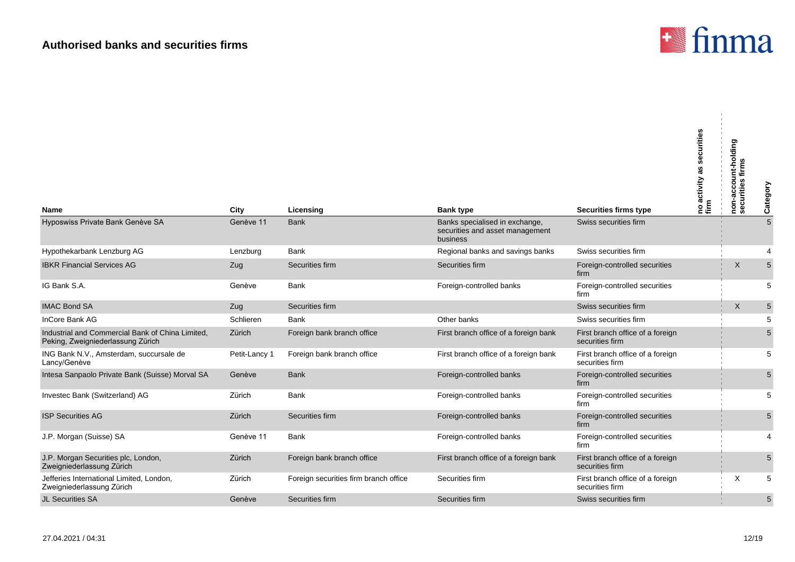

| Name                                                                                  | City          | Licensing                             | <b>Bank type</b>                                                              | <b>Securities firms type</b>                        | urities<br>ō<br>ೲ<br>activity<br>no a<br>firm | non-account-holding<br>securities firms | Category       |
|---------------------------------------------------------------------------------------|---------------|---------------------------------------|-------------------------------------------------------------------------------|-----------------------------------------------------|-----------------------------------------------|-----------------------------------------|----------------|
| Hyposwiss Private Bank Genève SA                                                      | Genève 11     | <b>Bank</b>                           | Banks specialised in exchange,<br>securities and asset management<br>business | Swiss securities firm                               |                                               |                                         | $\overline{5}$ |
| Hypothekarbank Lenzburg AG                                                            | Lenzburg      | Bank                                  | Regional banks and savings banks                                              | Swiss securities firm                               |                                               |                                         | $\overline{4}$ |
| <b>IBKR Financial Services AG</b>                                                     | Zug           | Securities firm                       | Securities firm                                                               | Foreign-controlled securities<br>firm               |                                               | X                                       | $5\phantom{1}$ |
| IG Bank S.A.                                                                          | Genève        | <b>Bank</b>                           | Foreign-controlled banks                                                      | Foreign-controlled securities<br>firm               |                                               |                                         | 5              |
| <b>IMAC Bond SA</b>                                                                   | Zug           | Securities firm                       |                                                                               | Swiss securities firm                               |                                               | X                                       | $\sqrt{5}$     |
| InCore Bank AG                                                                        | Schlieren     | <b>Bank</b>                           | Other banks                                                                   | Swiss securities firm                               |                                               |                                         | 5              |
| Industrial and Commercial Bank of China Limited,<br>Peking, Zweigniederlassung Zürich | Zürich        | Foreign bank branch office            | First branch office of a foreign bank                                         | First branch office of a foreign<br>securities firm |                                               |                                         | $\sqrt{5}$     |
| ING Bank N.V., Amsterdam, succursale de<br>Lancy/Genève                               | Petit-Lancy 1 | Foreign bank branch office            | First branch office of a foreign bank                                         | First branch office of a foreign<br>securities firm |                                               |                                         | 5              |
| Intesa Sanpaolo Private Bank (Suisse) Morval SA                                       | Genève        | <b>Bank</b>                           | Foreign-controlled banks                                                      | Foreign-controlled securities<br>firm               |                                               |                                         | $5\phantom{.}$ |
| Investec Bank (Switzerland) AG                                                        | Zürich        | Bank                                  | Foreign-controlled banks                                                      | Foreign-controlled securities<br>firm               |                                               |                                         | 5              |
| <b>ISP Securities AG</b>                                                              | Zürich        | Securities firm                       | Foreign-controlled banks                                                      | Foreign-controlled securities<br>firm               |                                               |                                         | $\sqrt{5}$     |
| J.P. Morgan (Suisse) SA                                                               | Genève 11     | Bank                                  | Foreign-controlled banks                                                      | Foreign-controlled securities<br>firm               |                                               |                                         | $\overline{4}$ |
| J.P. Morgan Securities plc, London,<br>Zweigniederlassung Zürich                      | Zürich        | Foreign bank branch office            | First branch office of a foreign bank                                         | First branch office of a foreign<br>securities firm |                                               |                                         | $\sqrt{5}$     |
| Jefferies International Limited, London,<br>Zweigniederlassung Zürich                 | Zürich        | Foreign securities firm branch office | Securities firm                                                               | First branch office of a foreign<br>securities firm |                                               | X                                       | 5              |
| <b>JL Securities SA</b>                                                               | Genève        | Securities firm                       | Securities firm                                                               | Swiss securities firm                               |                                               |                                         | 5              |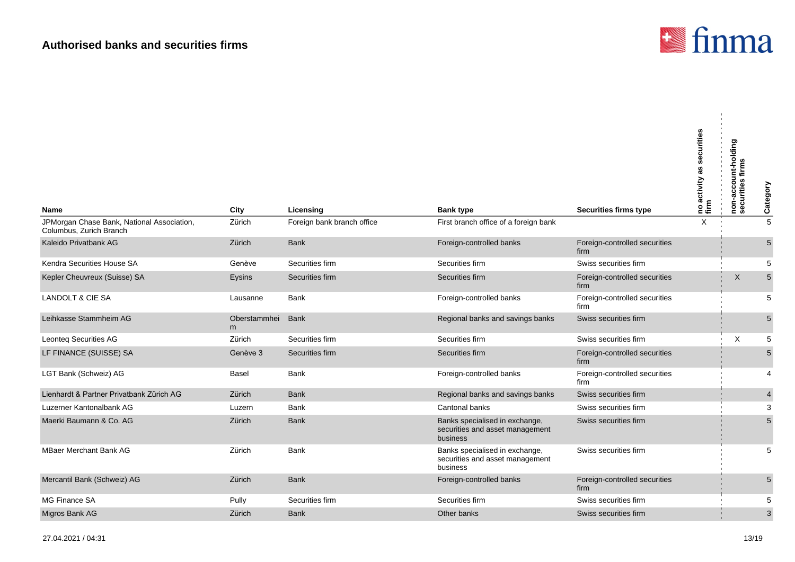

| Name                                                                  | City              | Licensing                  | <b>Bank type</b>                                                              | <b>Securities firms type</b>          | securities<br> no activity as <b>s</b><br> firm | non-account-holding<br>securities firms | Category                |
|-----------------------------------------------------------------------|-------------------|----------------------------|-------------------------------------------------------------------------------|---------------------------------------|-------------------------------------------------|-----------------------------------------|-------------------------|
| JPMorgan Chase Bank, National Association,<br>Columbus, Zurich Branch | Zürich            | Foreign bank branch office | First branch office of a foreign bank                                         |                                       | $\times$                                        |                                         | $\overline{5}$          |
| Kaleido Privatbank AG                                                 | Zürich            | <b>Bank</b>                | Foreign-controlled banks                                                      | Foreign-controlled securities<br>firm |                                                 |                                         | $5\,$                   |
| Kendra Securities House SA                                            | Genève            | Securities firm            | Securities firm                                                               | Swiss securities firm                 |                                                 |                                         | 5                       |
| Kepler Cheuvreux (Suisse) SA                                          | Eysins            | Securities firm            | Securities firm                                                               | Foreign-controlled securities<br>firm |                                                 | X                                       | $\overline{5}$          |
| <b>LANDOLT &amp; CIE SA</b>                                           | Lausanne          | Bank                       | Foreign-controlled banks                                                      | Foreign-controlled securities<br>firm |                                                 |                                         | 5                       |
| Leihkasse Stammheim AG                                                | Oberstammhei<br>m | <b>Bank</b>                | Regional banks and savings banks                                              | Swiss securities firm                 |                                                 |                                         | $5\phantom{.0}$         |
| <b>Leonteq Securities AG</b>                                          | Zürich            | Securities firm            | Securities firm                                                               | Swiss securities firm                 |                                                 | X                                       | $\,$ 5 $\,$             |
| LF FINANCE (SUISSE) SA                                                | Genève 3          | Securities firm            | Securities firm                                                               | Foreign-controlled securities<br>firm |                                                 |                                         | $\overline{5}$          |
| LGT Bank (Schweiz) AG                                                 | Basel             | <b>Bank</b>                | Foreign-controlled banks                                                      | Foreign-controlled securities<br>firm |                                                 |                                         | 4                       |
| Lienhardt & Partner Privatbank Zürich AG                              | Zürich            | <b>Bank</b>                | Regional banks and savings banks                                              | Swiss securities firm                 |                                                 |                                         | $\overline{\mathbf{4}}$ |
| Luzerner Kantonalbank AG                                              | Luzern            | <b>Bank</b>                | Cantonal banks                                                                | Swiss securities firm                 |                                                 |                                         | 3                       |
| Maerki Baumann & Co. AG                                               | Zürich            | <b>Bank</b>                | Banks specialised in exchange,<br>securities and asset management<br>business | Swiss securities firm                 |                                                 |                                         | $\sqrt{5}$              |
| <b>MBaer Merchant Bank AG</b>                                         | Zürich            | Bank                       | Banks specialised in exchange,<br>securities and asset management<br>business | Swiss securities firm                 |                                                 |                                         | 5                       |
| Mercantil Bank (Schweiz) AG                                           | Zürich            | <b>Bank</b>                | Foreign-controlled banks                                                      | Foreign-controlled securities<br>firm |                                                 |                                         | $\sqrt{5}$              |
| MG Finance SA                                                         | Pully             | Securities firm            | Securities firm                                                               | Swiss securities firm                 |                                                 |                                         | 5                       |
| Migros Bank AG                                                        | Zürich            | <b>Bank</b>                | Other banks                                                                   | Swiss securities firm                 |                                                 |                                         | $\overline{3}$          |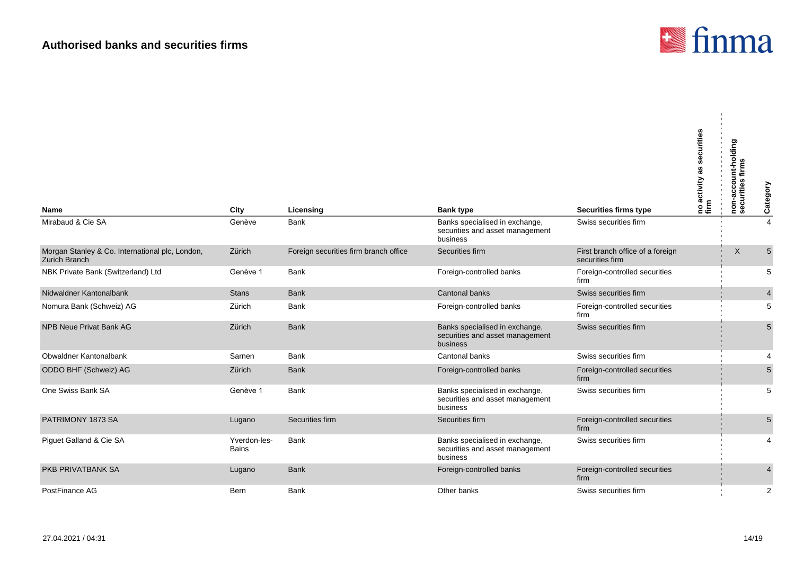

| <b>Name</b>                                                             | City                         | Licensing                             | <b>Bank type</b>                                                              | <b>Securities firms type</b>                        | securities<br>as<br> no activity a<br> firm | non-account-holding<br>securities firms | Category                |
|-------------------------------------------------------------------------|------------------------------|---------------------------------------|-------------------------------------------------------------------------------|-----------------------------------------------------|---------------------------------------------|-----------------------------------------|-------------------------|
| Mirabaud & Cie SA                                                       | Genève                       | Bank                                  | Banks specialised in exchange,<br>securities and asset management<br>business | Swiss securities firm                               |                                             |                                         | $\overline{4}$          |
| Morgan Stanley & Co. International plc, London,<br><b>Zurich Branch</b> | Zürich                       | Foreign securities firm branch office | Securities firm                                                               | First branch office of a foreign<br>securities firm |                                             | X                                       | $\overline{5}$          |
| NBK Private Bank (Switzerland) Ltd                                      | Genève 1                     | <b>Bank</b>                           | Foreign-controlled banks                                                      | Foreign-controlled securities<br>firm               |                                             |                                         | 5                       |
| Nidwaldner Kantonalbank                                                 | <b>Stans</b>                 | <b>Bank</b>                           | <b>Cantonal banks</b>                                                         | Swiss securities firm                               |                                             |                                         | $\overline{\mathbf{4}}$ |
| Nomura Bank (Schweiz) AG                                                | Zürich                       | Bank                                  | Foreign-controlled banks                                                      | Foreign-controlled securities<br>firm               |                                             |                                         | 5                       |
| <b>NPB Neue Privat Bank AG</b>                                          | Zürich                       | <b>Bank</b>                           | Banks specialised in exchange,<br>securities and asset management<br>business | Swiss securities firm                               |                                             |                                         | $\sqrt{5}$              |
| Obwaldner Kantonalbank                                                  | Sarnen                       | Bank                                  | Cantonal banks                                                                | Swiss securities firm                               |                                             |                                         | 4                       |
| ODDO BHF (Schweiz) AG                                                   | Zürich                       | <b>Bank</b>                           | Foreign-controlled banks                                                      | Foreign-controlled securities<br>firm               |                                             |                                         | 5                       |
| One Swiss Bank SA                                                       | Genève 1                     | Bank                                  | Banks specialised in exchange,<br>securities and asset management<br>business | Swiss securities firm                               |                                             |                                         | 5                       |
| PATRIMONY 1873 SA                                                       | Lugano                       | Securities firm                       | Securities firm                                                               | Foreign-controlled securities<br>firm               |                                             |                                         | $\sqrt{5}$              |
| Piguet Galland & Cie SA                                                 | Yverdon-les-<br><b>Bains</b> | <b>Bank</b>                           | Banks specialised in exchange,<br>securities and asset management<br>business | Swiss securities firm                               |                                             |                                         | $\overline{4}$          |
| <b>PKB PRIVATBANK SA</b>                                                | Lugano                       | <b>Bank</b>                           | Foreign-controlled banks                                                      | Foreign-controlled securities<br>firm               |                                             |                                         | $\overline{4}$          |
| PostFinance AG                                                          | Bern                         | Bank                                  | Other banks                                                                   | Swiss securities firm                               |                                             |                                         | $\overline{2}$          |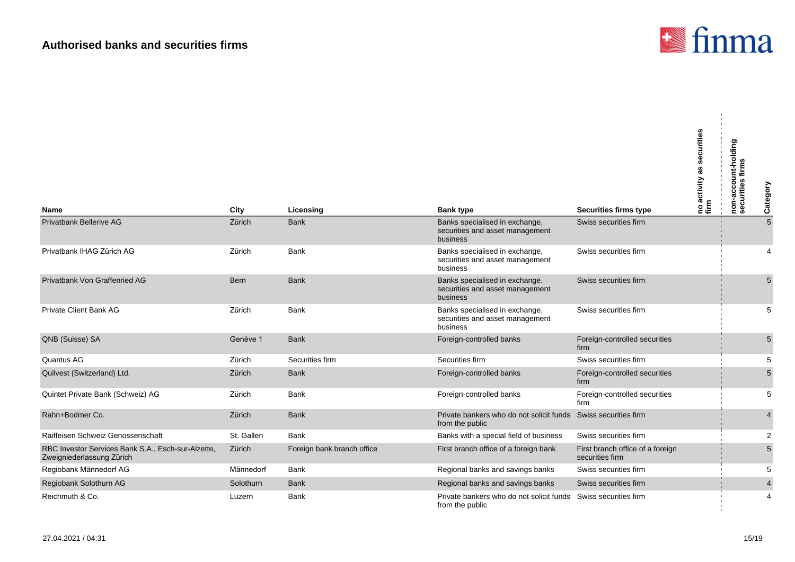

|                                                                                 |            |                            |                                                                               |                                                     | securities<br>as<br>activity<br>noa<br>firm | non-account-holding<br>securities firms | Category        |
|---------------------------------------------------------------------------------|------------|----------------------------|-------------------------------------------------------------------------------|-----------------------------------------------------|---------------------------------------------|-----------------------------------------|-----------------|
| <b>Name</b>                                                                     | City       | Licensing                  | <b>Bank type</b>                                                              | Securities firms type                               |                                             |                                         |                 |
| <b>Privatbank Bellerive AG</b>                                                  | Zürich     | <b>Bank</b>                | Banks specialised in exchange,<br>securities and asset management<br>business | Swiss securities firm                               |                                             |                                         | $5\overline{)}$ |
| Privatbank IHAG Zürich AG                                                       | Zürich     | <b>Bank</b>                | Banks specialised in exchange,<br>securities and asset management<br>business | Swiss securities firm                               |                                             |                                         | 4               |
| <b>Privatbank Von Graffenried AG</b>                                            | Bern       | <b>Bank</b>                | Banks specialised in exchange,<br>securities and asset management<br>business | Swiss securities firm                               |                                             |                                         | $5\overline{)}$ |
| <b>Private Client Bank AG</b>                                                   | Zürich     | <b>Bank</b>                | Banks specialised in exchange,<br>securities and asset management<br>business | Swiss securities firm                               |                                             |                                         | 5               |
| QNB (Suisse) SA                                                                 | Genève 1   | <b>Bank</b>                | Foreign-controlled banks                                                      | Foreign-controlled securities<br>firm               |                                             |                                         | $5\overline{)}$ |
| Quantus AG                                                                      | Zürich     | Securities firm            | Securities firm                                                               | Swiss securities firm                               |                                             |                                         | 5               |
| Quilvest (Switzerland) Ltd.                                                     | Zürich     | <b>Bank</b>                | Foreign-controlled banks                                                      | Foreign-controlled securities<br>firm               |                                             |                                         | $5\overline{)}$ |
| Quintet Private Bank (Schweiz) AG                                               | Zürich     | <b>Bank</b>                | Foreign-controlled banks                                                      | Foreign-controlled securities<br>firm               |                                             |                                         | 5               |
| Rahn+Bodmer Co.                                                                 | Zürich     | <b>Bank</b>                | Private bankers who do not solicit funds<br>from the public                   | Swiss securities firm                               |                                             |                                         | $\overline{4}$  |
| Raiffeisen Schweiz Genossenschaft                                               | St. Gallen | <b>Bank</b>                | Banks with a special field of business                                        | Swiss securities firm                               |                                             |                                         | $\overline{2}$  |
| RBC Investor Services Bank S.A., Esch-sur-Alzette,<br>Zweigniederlassung Zürich | Zürich     | Foreign bank branch office | First branch office of a foreign bank                                         | First branch office of a foreign<br>securities firm |                                             |                                         | 5               |
| Regiobank Männedorf AG                                                          | Männedorf  | <b>Bank</b>                | Regional banks and savings banks                                              | Swiss securities firm                               |                                             |                                         | 5               |
| Regiobank Solothurn AG                                                          | Solothurn  | <b>Bank</b>                | Regional banks and savings banks                                              | Swiss securities firm                               |                                             |                                         | $\overline{4}$  |
| Reichmuth & Co.                                                                 | Luzern     | <b>Bank</b>                | Private bankers who do not solicit funds<br>from the public                   | Swiss securities firm                               |                                             |                                         | 4               |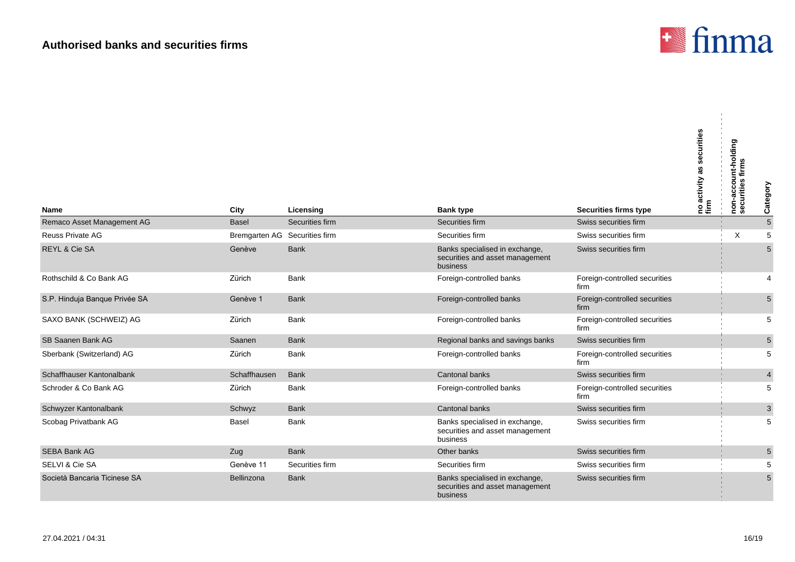

| Name                          | City                          | Licensing       | <b>Bank type</b>                                                              | <b>Securities firms type</b>          | securities<br> no activity as s<br> firm | --account-holding<br>urities firms<br>ċ<br>non<br>sec | Category        |
|-------------------------------|-------------------------------|-----------------|-------------------------------------------------------------------------------|---------------------------------------|------------------------------------------|-------------------------------------------------------|-----------------|
| Remaco Asset Management AG    | <b>Basel</b>                  | Securities firm | Securities firm                                                               | Swiss securities firm                 |                                          |                                                       | $\sqrt{5}$      |
| <b>Reuss Private AG</b>       | Bremgarten AG Securities firm |                 | Securities firm                                                               | Swiss securities firm                 |                                          | X                                                     | $\sqrt{5}$      |
| <b>REYL &amp; Cie SA</b>      | Genève                        | <b>Bank</b>     | Banks specialised in exchange,<br>securities and asset management<br>business | Swiss securities firm                 |                                          |                                                       | 5               |
| Rothschild & Co Bank AG       | Zürich                        | <b>Bank</b>     | Foreign-controlled banks                                                      | Foreign-controlled securities<br>firm |                                          |                                                       | 4               |
| S.P. Hinduja Banque Privée SA | Genève 1                      | <b>Bank</b>     | Foreign-controlled banks                                                      | Foreign-controlled securities<br>firm |                                          |                                                       | 5               |
| SAXO BANK (SCHWEIZ) AG        | Zürich                        | <b>Bank</b>     | Foreign-controlled banks                                                      | Foreign-controlled securities<br>firm |                                          |                                                       | 5               |
| SB Saanen Bank AG             | Saanen                        | <b>Bank</b>     | Regional banks and savings banks                                              | Swiss securities firm                 |                                          |                                                       | $5\phantom{.0}$ |
| Sberbank (Switzerland) AG     | Zürich                        | <b>Bank</b>     | Foreign-controlled banks                                                      | Foreign-controlled securities<br>firm |                                          |                                                       | 5               |
| Schaffhauser Kantonalbank     | Schaffhausen                  | <b>Bank</b>     | <b>Cantonal banks</b>                                                         | Swiss securities firm                 |                                          |                                                       | $\overline{4}$  |
| Schroder & Co Bank AG         | Zürich                        | <b>Bank</b>     | Foreign-controlled banks                                                      | Foreign-controlled securities<br>firm |                                          |                                                       | 5               |
| Schwyzer Kantonalbank         | Schwyz                        | <b>Bank</b>     | Cantonal banks                                                                | Swiss securities firm                 |                                          |                                                       | $\sqrt{3}$      |
| Scobag Privatbank AG          | Basel                         | Bank            | Banks specialised in exchange,<br>securities and asset management<br>business | Swiss securities firm                 |                                          |                                                       | 5               |
| <b>SEBA Bank AG</b>           | Zug                           | <b>Bank</b>     | Other banks                                                                   | Swiss securities firm                 |                                          |                                                       | $5\phantom{.0}$ |
| SELVI & Cie SA                | Genève 11                     | Securities firm | Securities firm                                                               | Swiss securities firm                 |                                          |                                                       | 5               |
| Società Bancaria Ticinese SA  | Bellinzona                    | <b>Bank</b>     | Banks specialised in exchange,<br>securities and asset management<br>business | Swiss securities firm                 |                                          |                                                       | $5\phantom{.0}$ |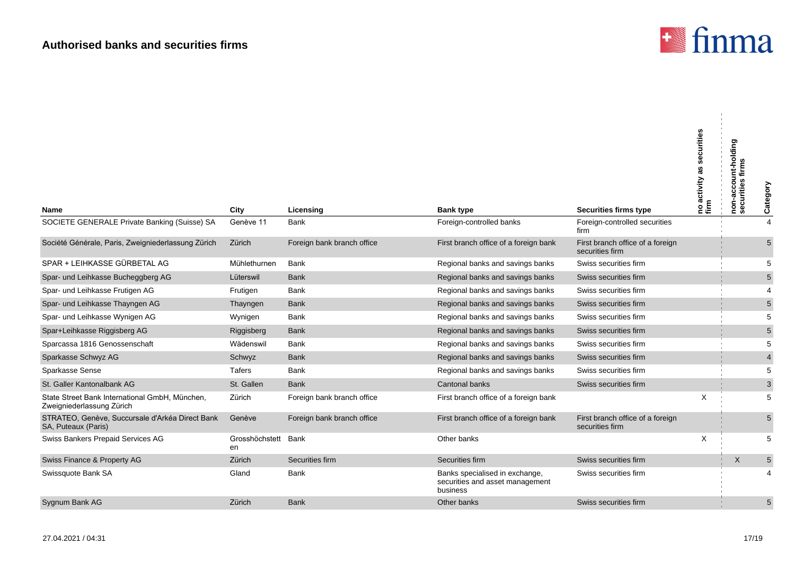

| Name                                                                        | City                      | Licensing                  | <b>Bank type</b>                                                              | <b>Securities firms type</b>                        | securities<br>as<br>activity<br>noa<br>firm | non-account-holding<br>securities firms | Category       |
|-----------------------------------------------------------------------------|---------------------------|----------------------------|-------------------------------------------------------------------------------|-----------------------------------------------------|---------------------------------------------|-----------------------------------------|----------------|
| SOCIETE GENERALE Private Banking (Suisse) SA                                | Genève 11                 | <b>Bank</b>                | Foreign-controlled banks                                                      | Foreign-controlled securities<br>firm               |                                             |                                         | $\overline{4}$ |
| Société Générale, Paris, Zweigniederlassung Zürich                          | Zürich                    | Foreign bank branch office | First branch office of a foreign bank                                         | First branch office of a foreign<br>securities firm |                                             |                                         | 5              |
| SPAR + LEIHKASSE GÜRBETAL AG                                                | Mühlethurnen              | <b>Bank</b>                | Regional banks and savings banks                                              | Swiss securities firm                               |                                             |                                         | 5              |
| Spar- und Leihkasse Bucheggberg AG                                          | Lüterswil                 | <b>Bank</b>                | Regional banks and savings banks                                              | Swiss securities firm                               |                                             |                                         | $5\,$          |
| Spar- und Leihkasse Frutigen AG                                             | Frutigen                  | <b>Bank</b>                | Regional banks and savings banks                                              | Swiss securities firm                               |                                             |                                         | $\overline{4}$ |
| Spar- und Leihkasse Thayngen AG                                             | Thayngen                  | <b>Bank</b>                | Regional banks and savings banks                                              | Swiss securities firm                               |                                             |                                         | $\mathbf 5$    |
| Spar- und Leihkasse Wynigen AG                                              | Wynigen                   | Bank                       | Regional banks and savings banks                                              | Swiss securities firm                               |                                             |                                         | 5              |
| Spar+Leihkasse Riggisberg AG                                                | Riggisberg                | <b>Bank</b>                | Regional banks and savings banks                                              | Swiss securities firm                               |                                             |                                         | $5\,$          |
| Sparcassa 1816 Genossenschaft                                               | Wädenswil                 | Bank                       | Regional banks and savings banks                                              | Swiss securities firm                               |                                             |                                         | 5              |
| Sparkasse Schwyz AG                                                         | Schwyz                    | <b>Bank</b>                | Regional banks and savings banks                                              | Swiss securities firm                               |                                             |                                         | $\overline{4}$ |
| <b>Sparkasse Sense</b>                                                      | Tafers                    | <b>Bank</b>                | Regional banks and savings banks                                              | Swiss securities firm                               |                                             |                                         | 5              |
| St. Galler Kantonalbank AG                                                  | St. Gallen                | <b>Bank</b>                | <b>Cantonal banks</b>                                                         | Swiss securities firm                               |                                             |                                         | $\mathsf 3$    |
| State Street Bank International GmbH, München,<br>Zweigniederlassung Zürich | Zürich                    | Foreign bank branch office | First branch office of a foreign bank                                         |                                                     | X                                           |                                         | 5              |
| STRATEO, Genève, Succursale d'Arkéa Direct Bank<br>SA, Puteaux (Paris)      | Genève                    | Foreign bank branch office | First branch office of a foreign bank                                         | First branch office of a foreign<br>securities firm |                                             |                                         | $5\,$          |
| Swiss Bankers Prepaid Services AG                                           | Grosshöchstett Bank<br>en |                            | Other banks                                                                   |                                                     | X                                           |                                         | 5              |
| Swiss Finance & Property AG                                                 | Zürich                    | Securities firm            | Securities firm                                                               | Swiss securities firm                               |                                             | $\times$                                | $\mathbf 5$    |
| Swissquote Bank SA                                                          | Gland                     | Bank                       | Banks specialised in exchange,<br>securities and asset management<br>business | Swiss securities firm                               |                                             |                                         | 4              |
| Sygnum Bank AG                                                              | Zürich                    | <b>Bank</b>                | Other banks                                                                   | Swiss securities firm                               |                                             |                                         | $\sqrt{5}$     |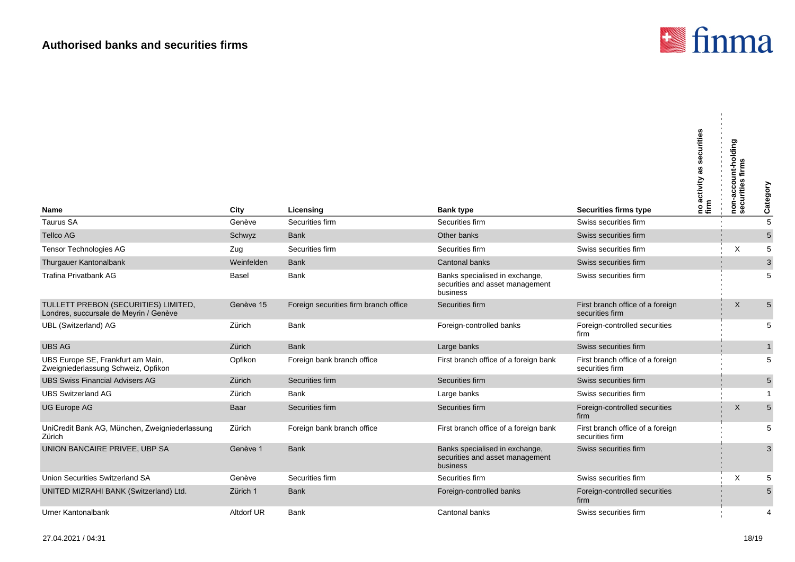

| <b>Name</b>                                                                    | City       | Licensing                             | <b>Bank type</b>                                                              | <b>Securities firms type</b>                        | securities<br>as<br> no activity a<br> firm | non-account-holding<br>securities firms | Category       |
|--------------------------------------------------------------------------------|------------|---------------------------------------|-------------------------------------------------------------------------------|-----------------------------------------------------|---------------------------------------------|-----------------------------------------|----------------|
| <b>Taurus SA</b>                                                               | Genève     | Securities firm                       | Securities firm                                                               | Swiss securities firm                               |                                             |                                         | $\overline{5}$ |
| <b>Tellco AG</b>                                                               | Schwyz     | <b>Bank</b>                           | Other banks                                                                   | Swiss securities firm                               |                                             |                                         | $\sqrt{5}$     |
| Tensor Technologies AG                                                         | Zug        | Securities firm                       | Securities firm                                                               | Swiss securities firm                               |                                             | X                                       | $\,$ 5 $\,$    |
| Thurgauer Kantonalbank                                                         | Weinfelden | <b>Bank</b>                           | <b>Cantonal banks</b>                                                         | Swiss securities firm                               |                                             |                                         | $\mathbf{3}$   |
| <b>Trafina Privatbank AG</b>                                                   | Basel      | Bank                                  | Banks specialised in exchange,<br>securities and asset management<br>business | Swiss securities firm                               |                                             |                                         | 5              |
| TULLETT PREBON (SECURITIES) LIMITED,<br>Londres, succursale de Meyrin / Genève | Genève 15  | Foreign securities firm branch office | Securities firm                                                               | First branch office of a foreign<br>securities firm |                                             | X                                       | 5              |
| <b>UBL</b> (Switzerland) AG                                                    | Zürich     | Bank                                  | Foreign-controlled banks                                                      | Foreign-controlled securities<br>firm               |                                             |                                         | 5              |
| <b>UBS AG</b>                                                                  | Zürich     | <b>Bank</b>                           | Large banks                                                                   | Swiss securities firm                               |                                             |                                         | $\mathbf{1}$   |
| UBS Europe SE, Frankfurt am Main,<br>Zweigniederlassung Schweiz, Opfikon       | Opfikon    | Foreign bank branch office            | First branch office of a foreign bank                                         | First branch office of a foreign<br>securities firm |                                             |                                         | 5              |
| <b>UBS Swiss Financial Advisers AG</b>                                         | Zürich     | Securities firm                       | Securities firm                                                               | Swiss securities firm                               |                                             |                                         | 5              |
| <b>UBS Switzerland AG</b>                                                      | Zürich     | Bank                                  | Large banks                                                                   | Swiss securities firm                               |                                             |                                         | $\mathbf{1}$   |
| <b>UG Europe AG</b>                                                            | Baar       | Securities firm                       | Securities firm                                                               | Foreign-controlled securities<br>firm               |                                             | $\times$                                | 5              |
| UniCredit Bank AG, München, Zweigniederlassung<br>Zürich                       | Zürich     | Foreign bank branch office            | First branch office of a foreign bank                                         | First branch office of a foreign<br>securities firm |                                             |                                         | 5              |
| UNION BANCAIRE PRIVEE, UBP SA                                                  | Genève 1   | <b>Bank</b>                           | Banks specialised in exchange,<br>securities and asset management<br>business | Swiss securities firm                               |                                             |                                         | 3              |
| Union Securities Switzerland SA                                                | Genève     | Securities firm                       | Securities firm                                                               | Swiss securities firm                               |                                             | $\times$                                | 5              |
| UNITED MIZRAHI BANK (Switzerland) Ltd.                                         | Zürich 1   | <b>Bank</b>                           | Foreign-controlled banks                                                      | Foreign-controlled securities<br>firm               |                                             |                                         | 5              |
| Urner Kantonalbank                                                             | Altdorf UR | <b>Bank</b>                           | Cantonal banks                                                                | Swiss securities firm                               |                                             |                                         | 4              |